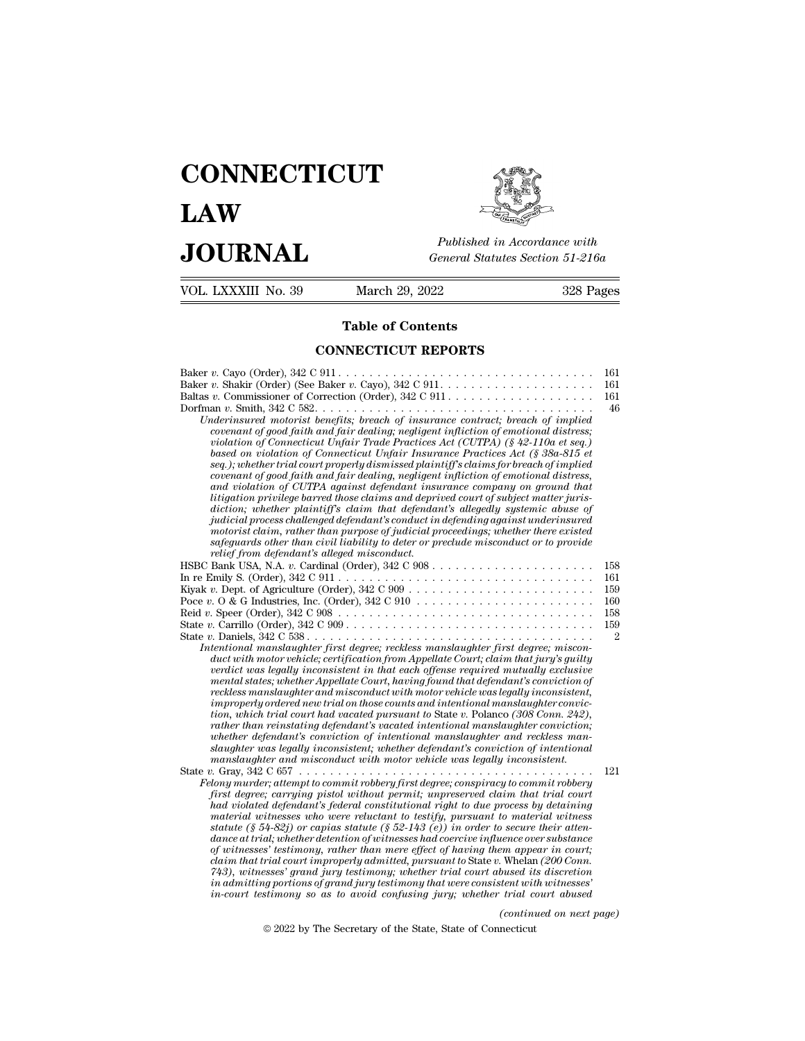# **CONNECTICUT LAW PUBLICE CONNECTICUT**<br> **Published in Accordance with**<br> **JOURNAL** *General Statutes Section 51-216a*<br> **Published in Accordance with** VOL. LXXXIII No. 39 March 29, 2022 328 Pages



Published in A<br>
General Statutes<br>
March 29, 2022<br> **Table of Contents<br>
INECTICUT REPORTS** 

| JUUKNAL                                     |                                                                                                                                                                                                                                                                                                                                                                                                                                                                                                                                                                                                                                                                                                                                                                                                                                                                                                                                                                                                                                                                                                                                                                                                                                                                                                                                                                                                                                                                                    | General Statutes Section 51-216a                         |  |
|---------------------------------------------|------------------------------------------------------------------------------------------------------------------------------------------------------------------------------------------------------------------------------------------------------------------------------------------------------------------------------------------------------------------------------------------------------------------------------------------------------------------------------------------------------------------------------------------------------------------------------------------------------------------------------------------------------------------------------------------------------------------------------------------------------------------------------------------------------------------------------------------------------------------------------------------------------------------------------------------------------------------------------------------------------------------------------------------------------------------------------------------------------------------------------------------------------------------------------------------------------------------------------------------------------------------------------------------------------------------------------------------------------------------------------------------------------------------------------------------------------------------------------------|----------------------------------------------------------|--|
| VOL. LXXXIII No. 39                         | March 29, 2022<br>328 Pages                                                                                                                                                                                                                                                                                                                                                                                                                                                                                                                                                                                                                                                                                                                                                                                                                                                                                                                                                                                                                                                                                                                                                                                                                                                                                                                                                                                                                                                        |                                                          |  |
| <b>Table of Contents</b>                    |                                                                                                                                                                                                                                                                                                                                                                                                                                                                                                                                                                                                                                                                                                                                                                                                                                                                                                                                                                                                                                                                                                                                                                                                                                                                                                                                                                                                                                                                                    |                                                          |  |
|                                             | <b>CONNECTICUT REPORTS</b>                                                                                                                                                                                                                                                                                                                                                                                                                                                                                                                                                                                                                                                                                                                                                                                                                                                                                                                                                                                                                                                                                                                                                                                                                                                                                                                                                                                                                                                         |                                                          |  |
| relief from defendant's alleged misconduct. | Underinsured motorist benefits; breach of insurance contract; breach of implied<br>covenant of good faith and fair dealing; negligent infliction of emotional distress;<br>violation of Connecticut Unfair Trade Practices Act (CUTPA) (§ 42-110a et seq.)<br>based on violation of Connecticut Unfair Insurance Practices Act (§ 38a-815 et<br>seq.); whether trial court properly dismissed plaintiff's claims for breach of implied<br>covenant of good faith and fair dealing, negligent infliction of emotional distress,<br>and violation of CUTPA against defendant insurance company on ground that<br>litigation privilege barred those claims and deprived court of subject matter juris-<br>diction; whether plaintiff's claim that defendant's allegedly systemic abuse of<br>judicial process challenged defendant's conduct in defending against underinsured<br>motorist claim, rather than purpose of judicial proceedings; whether there existed<br>safeguards other than civil liability to deter or preclude misconduct or to provide                                                                                                                                                                                                                                                                                                                                                                                                                           | 161<br>161<br>161<br>46                                  |  |
|                                             | In re Emily S. (Order), $342 \text{ C } 911 \ldots \ldots \ldots \ldots \ldots \ldots \ldots \ldots \ldots \ldots \ldots \ldots$<br>Reid v. Speer (Order), $342 \text{ C } 908 \ldots \ldots \ldots \ldots \ldots \ldots \ldots \ldots \ldots \ldots$<br>State v. Carrillo (Order), $342 \text{ C } 909 \ldots \ldots \ldots \ldots \ldots \ldots \ldots \ldots \ldots \ldots \ldots$<br>State v. Daniels, $342 \text{ C } 538 \ldots \ldots \ldots \ldots \ldots \ldots \ldots \ldots \ldots \ldots \ldots \ldots$<br>Intentional manslaughter first degree; reckless manslaughter first degree; miscon-<br>duct with motor vehicle; certification from Appellate Court; claim that jury's guilty<br>verdict was legally inconsistent in that each offense required mutually exclusive<br>mental states; whether Appellate Court, having found that defendant's conviction of<br>reckless manslaughter and misconduct with motor vehicle was legally inconsistent,<br>improperly ordered new trial on those counts and intentional manslaughter convic-<br>tion, which trial court had vacated pursuant to State v. Polanco (308 Conn. 242),<br>rather than reinstating defendant's vacated intentional manslaughter conviction;<br>whether defendant's conviction of intentional manslaughter and reckless man-<br>slaughter was legally inconsistent; whether defendant's conviction of intentional<br>manslaughter and misconduct with motor vehicle was legally inconsistent. | 158<br>161<br>159<br>160<br>158<br>159<br>$\mathfrak{D}$ |  |
|                                             | Felony murder; attempt to commit robbery first degree; conspiracy to commit robbery<br>first degree; carrying pistol without permit; unpreserved claim that trial court<br>had violated defendant's federal constitutional right to due process by detaining<br>material witnesses who were reluctant to testify, pursuant to material witness<br>statute (§ 54-82j) or capias statute (§ 52-143 (e)) in order to secure their atten-<br>dance at trial; whether detention of witnesses had coercive influence over substance<br>of witnesses' testimony, rather than mere effect of having them appear in court;<br>claim that trial court improperly admitted, pursuant to State v. Whelan (200 Conn.<br>743), witnesses' grand jury testimony; whether trial court abused its discretion<br>in admitting portions of grand jury testimony that were consistent with witnesses'<br>in-court testimony so as to avoid confusing jury; whether trial court abused                                                                                                                                                                                                                                                                                                                                                                                                                                                                                                                  | 121                                                      |  |
|                                             | (continued on next page)                                                                                                                                                                                                                                                                                                                                                                                                                                                                                                                                                                                                                                                                                                                                                                                                                                                                                                                                                                                                                                                                                                                                                                                                                                                                                                                                                                                                                                                           |                                                          |  |
|                                             | © 2022 by The Secretary of the State, State of Connecticut                                                                                                                                                                                                                                                                                                                                                                                                                                                                                                                                                                                                                                                                                                                                                                                                                                                                                                                                                                                                                                                                                                                                                                                                                                                                                                                                                                                                                         |                                                          |  |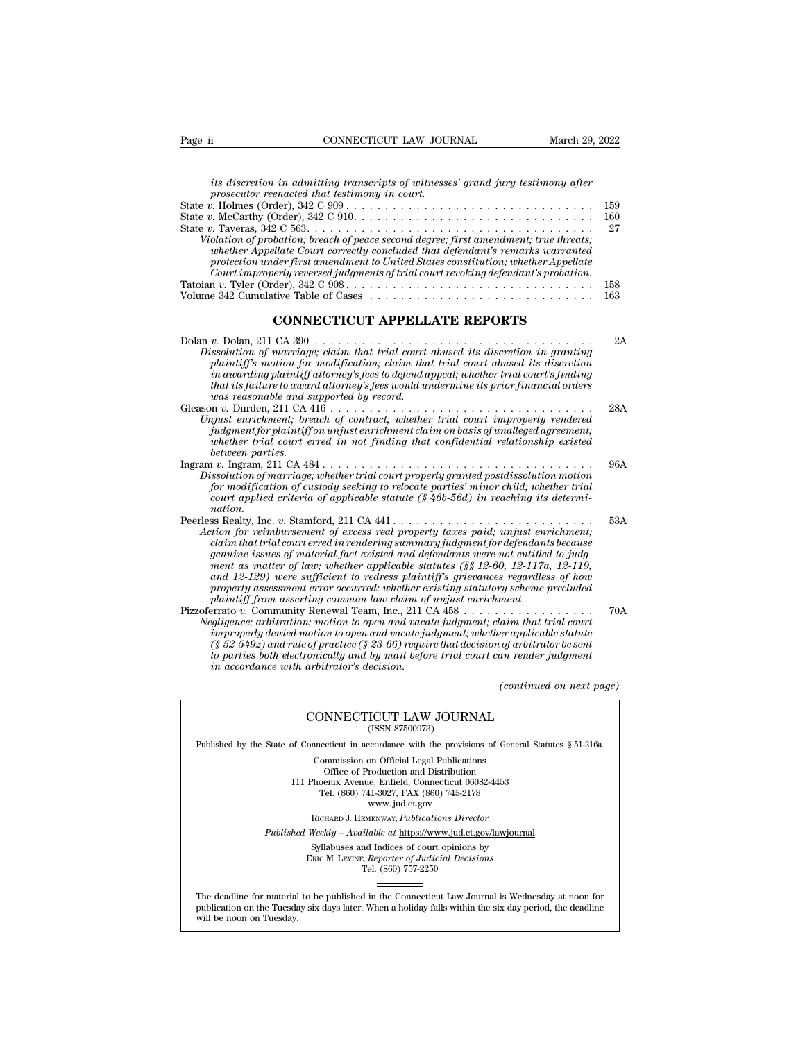|--|

| Page ii | CONNECTICUT LAW JOURNAL                                                                                                                                                                                                                                                                                                                            | March 29, 2022 |
|---------|----------------------------------------------------------------------------------------------------------------------------------------------------------------------------------------------------------------------------------------------------------------------------------------------------------------------------------------------------|----------------|
|         |                                                                                                                                                                                                                                                                                                                                                    |                |
|         | its discretion in admitting transcripts of witnesses' grand jury testimony after<br>prosecutor reenacted that testimony in court.                                                                                                                                                                                                                  |                |
|         | State $v$ . Holmes (Order), $342 \text{ C } 909 \ldots \ldots \ldots \ldots \ldots \ldots \ldots \ldots \ldots \ldots$                                                                                                                                                                                                                             | 159            |
|         |                                                                                                                                                                                                                                                                                                                                                    | 160            |
|         |                                                                                                                                                                                                                                                                                                                                                    | 27             |
|         | Violation of probation; breach of peace second degree; first amendment; true threats;<br>whether Appellate Court correctly concluded that defendant's remarks warranted<br>protection under first amendment to United States constitution; whether Appellate<br>Court improperly reversed judgments of trial court revoking defendant's probation. |                |
|         |                                                                                                                                                                                                                                                                                                                                                    | 158            |
|         | Volume 342 Cumulative Table of Cases                                                                                                                                                                                                                                                                                                               | 163            |
|         | CONNECTICUT APPELLATE REPORTS                                                                                                                                                                                                                                                                                                                      |                |
|         | Dissolution of marriage; claim that trial court abused its discretion in granting<br>plaintiff's motion for modification: claim that trial court abused its discretion                                                                                                                                                                             | 2A             |

| Court improperty reversed judgments of trial court revoking defendant s provation.<br>Tatoian v. Tyler (Order), $342 \text{ C } 908 \ldots \ldots \ldots \ldots \ldots \ldots \ldots \ldots \ldots \ldots \ldots \ldots$<br>Volume 342 Cumulative Table of Cases                                                                                                                                                                                                                                                                                                                                                                                         | 158<br>163 |
|----------------------------------------------------------------------------------------------------------------------------------------------------------------------------------------------------------------------------------------------------------------------------------------------------------------------------------------------------------------------------------------------------------------------------------------------------------------------------------------------------------------------------------------------------------------------------------------------------------------------------------------------------------|------------|
| <b>CONNECTICUT APPELLATE REPORTS</b>                                                                                                                                                                                                                                                                                                                                                                                                                                                                                                                                                                                                                     |            |
| Dissolution of marriage; claim that trial court abused its discretion in granting<br>plaintiff's motion for modification; claim that trial court abused its discretion<br>in awarding plaintiff attorney's fees to defend appeal; whether trial court's finding<br>that its failure to award attorney's fees would undermine its prior financial orders<br>was reasonable and supported by record.                                                                                                                                                                                                                                                       | 2A         |
| Unjust enrichment; breach of contract; whether trial court improperly rendered<br>judgment for plaintiff on unjust enrichment claim on basis of unalleged agreement;<br>whether trial court erred in not finding that confidential relationship existed<br>between parties.                                                                                                                                                                                                                                                                                                                                                                              | 28A        |
| Dissolution of marriage; whether trial court properly granted postdissolution motion<br>for modification of custody seeking to relocate parties' minor child; whether trial<br>court applied criteria of applicable statute $(\frac{8}{46}$ -56d) in reaching its determi-<br>nation.                                                                                                                                                                                                                                                                                                                                                                    | 96A        |
| Peerless Realty, Inc. v. Stamford, 211 CA 441<br>Action for reimbursement of excess real property taxes paid; unjust enrichment;<br>claim that trial court erred in rendering summary judgment for defendants because<br><i>genuine issues of material fact existed and defendants were not entitled to judg-</i><br>ment as matter of law; whether applicable statutes $(\frac{6}{5})$ 12-60, 12-117a, 12-119,<br>and 12-129) were sufficient to redress plaintiff's grievances regardless of how<br>property assessment error occurred; whether existing statutory scheme precluded<br>plaintiff from asserting common-law claim of unjust enrichment. | 53A        |
| Pizzoferrato v. Community Renewal Team, Inc., 211 CA 458<br>Negligence; arbitration; motion to open and vacate judgment; claim that trial court<br>improperly denied motion to open and vacate judgment; whether applicable statute<br>$(\S 52-549z)$ and rule of practice ( $\S 23-66$ ) require that decision of arbitrator be sent<br>to parties both electronically and by mail before trial court can render judgment<br>in accordance with arbitrator's decision.                                                                                                                                                                                  | 70A        |
| (continued on next page)                                                                                                                                                                                                                                                                                                                                                                                                                                                                                                                                                                                                                                 |            |
| CONNECTICUT LAW JOURNAL<br>(ISSN 87500973)                                                                                                                                                                                                                                                                                                                                                                                                                                                                                                                                                                                                               |            |
| Published by the State of Connecticut in accordance with the provisions of General Statutes § 51-216a.                                                                                                                                                                                                                                                                                                                                                                                                                                                                                                                                                   |            |

## $\begin{array}{lllll} \text{CONNECTICUT LAW JOURNAL} & \text{[ISSN 87500973)} \end{array}$

 $\begin{tabular}{l|l|l} \hline & (continued on next page) \\ \hline (CONNECTICUT LAW JOURNAL \\ (ISSN 87500973) \\ \hline \end{tabular}$  \hline \begin{tabular}{l|l|l|} \hline \multicolumn{3}{c}{\text{Published by the State of Connecticut in accordance with the provisions of General Statistics § 51-216a.} \\ \hline \multicolumn{3}{c}{\text{Commission on Official Legal Publications}} \\ \hline \end{tabular} CONNECTICUT LAW JOURNAL<br>
(ISSN 87500973)<br>
inecticut in accordance with the provisions of Gener<br>
Commission on Official Legal Publications<br>
Office of Production and Distribution<br>
office of Production and Distribution **NNECTICUT LAW JOURNAL**<br>
(ISSN 87500973)<br>
cticut in accordance with the provisions of Gener<br>
mmission on Official Legal Publications<br>
Office of Production and Distribution<br>
centra Avenue, Enfield, Connecticut 06082-4453<br>
b

CONNECTICUT LAW JOURNAL<br>
(ISSN 87500973)<br>
of Connecticut in accordance with the provisions of General Statu<br>
Commission on Official Legal Publications<br>
Office of Production and Distribution<br>
111 Phoenix Avenue, Enfield, Co (ISSN 87500973)<br>ecticut in accordance with the provisions of Gener<br>ommission on Official Legal Publications<br>Office of Production and Distribution<br>oenix Avenue, Enfield, Connecticut 06082-4453<br>Tel. (860) 741-3027, FAX (860 reordance with the provision<br>on Official Legal Publication<br>roduction and Distribution<br>e, Enfield, Connecticut 06<br>11-3027, FAX (860) 745-21'<br>www.jud.ct.gov<br>zENWAY, *Publications Dire* Rommission on Official Legal Publications<br>
Office of Production and Distribution<br>
Phoenix Avenue, Enfield, Connecticut 06082-4453<br>
Tel. (860) 741-3027, FAX (860) 745-2178<br>
www.jud.ct.gov<br>
RICHARD J. HEMENWAY, *Publications* Office of Production and Distribution<br>
111 Phoenix Avenue, Enfield, Connecticut 06082-4453<br>
Tel. (860) 741-3027, FAX (860) 745-2178<br>
www.jud.ct.gov<br>
RICHARD J. HEMENWAY, *Publications Director*<br> *Published Weekly – Availab* Phoenix Avenue, Enfield, Connecticut 06082-4453<br>
Tel. (860) 741-3027, FAX (860) 745-2178<br>
www.jud.ct.gov<br>
RICHARD J. HEMENWAY, *Publications Director*<br>
Weekly – Available at <u>https://www.jud.ct.gov/lawjourna</u><br>
Syllabuses a

Tel. (860) 757-2250

Published Weekly – Available at https://www.jud.ct.gov/lawjournal<br>Syllabuses and Indices of court opinions by<br>ERIC M. LEVINE, Reporter of Judicial Decisions<br>The deadline for material to be published in the Connecticut Law  $\begin{tabular}{l} \bf Syllabuses\ and\ Indices\ of\ court\ opinions\ by\\ \bf Enc\ M.\ LevINE,\ \textit{Reporter of\ Judicial\ Decisions}\\ \bf Tel.\ (860)\ 757-2250\\ \end{tabular}$  <br> The deadline for material to be published in the Connecticut Law Journal is Wednesday at noon for publication on the Tuesday six days later The deadline for material<br>publication on the Tuesday.<br>will be noon on Tuesday.